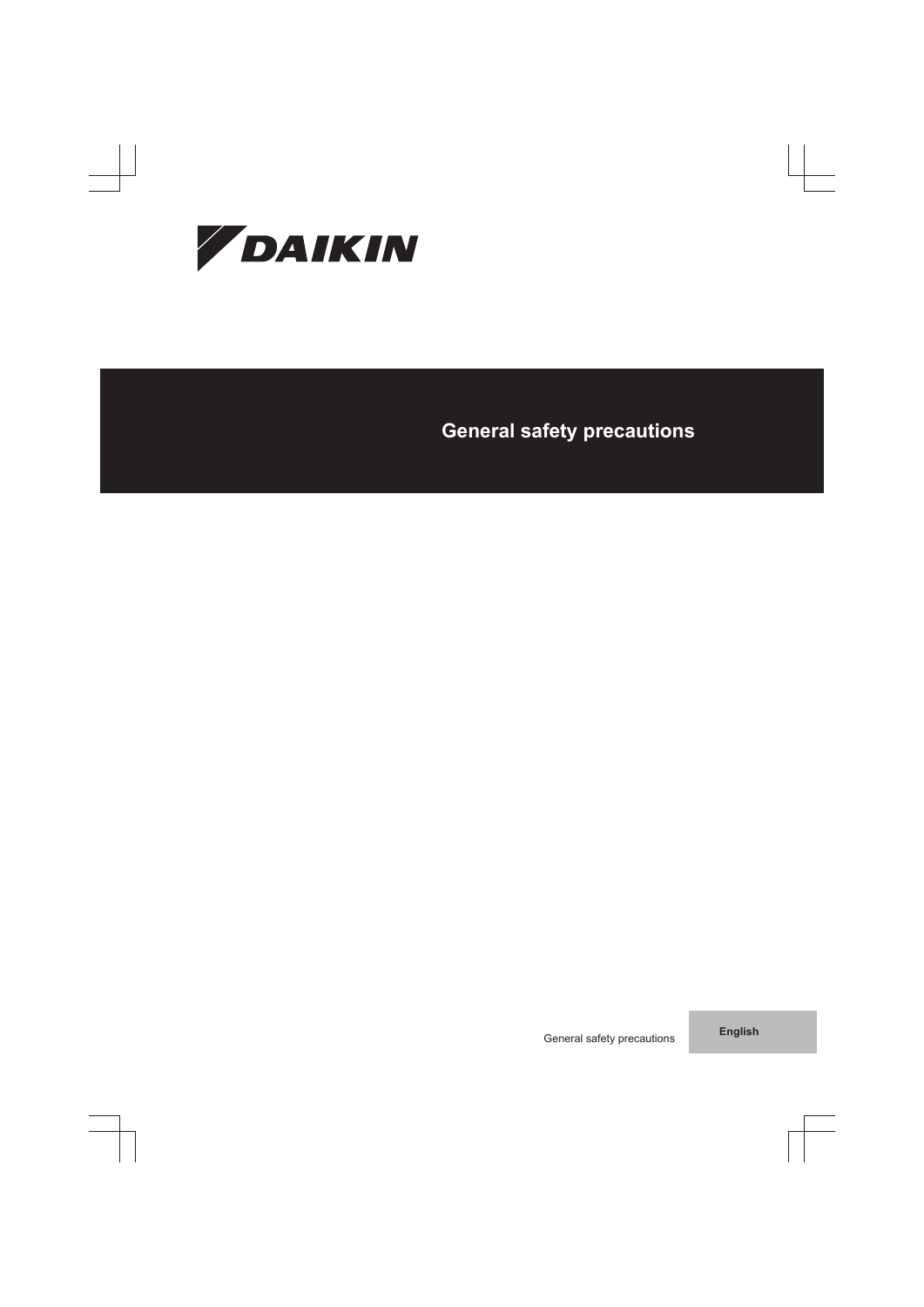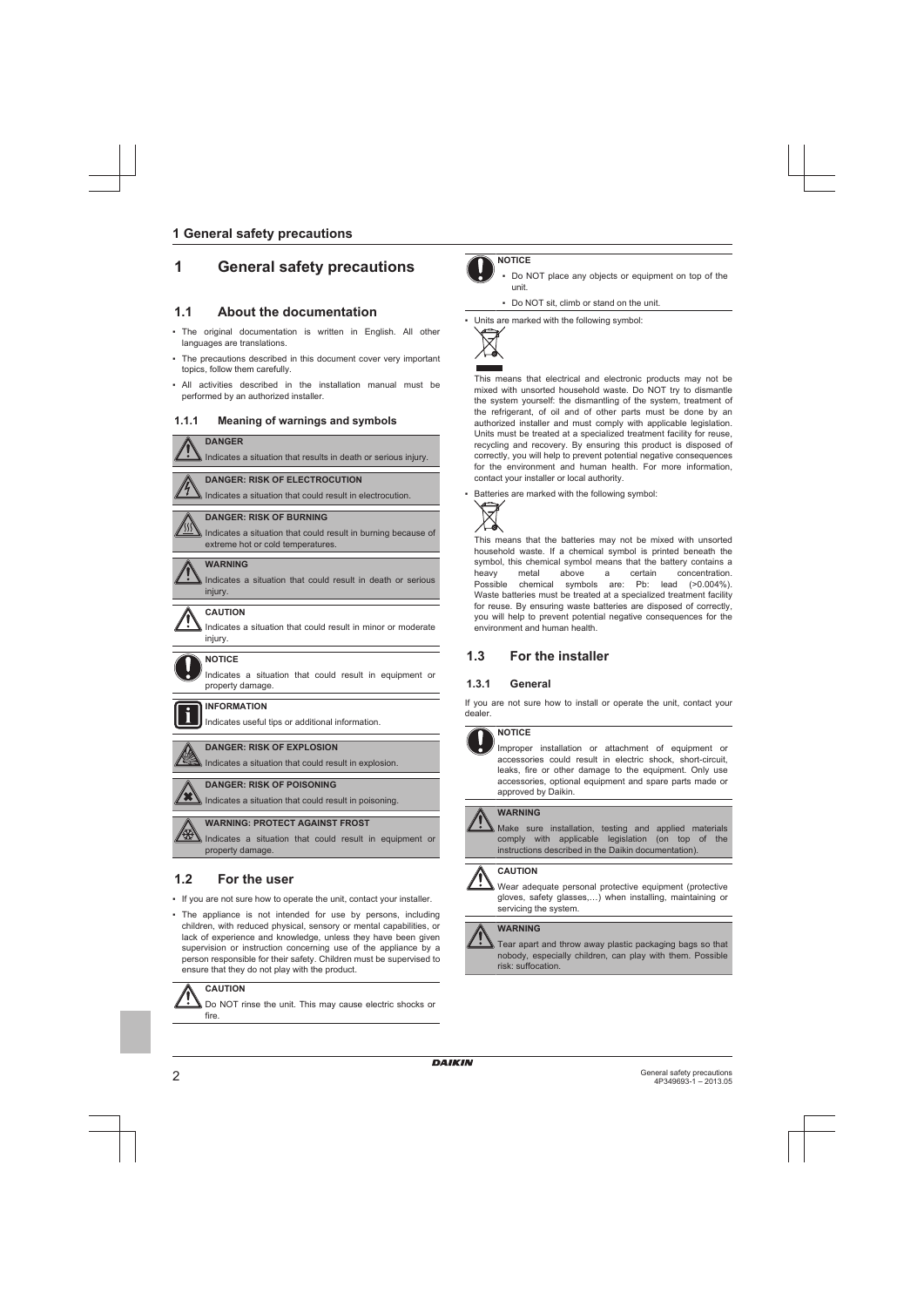## **1.1 About the documentation**

- The original documentation is written in English. All other languages are translations.
- The precautions described in this document cover very important topics, follow them carefully.
- All activities described in the installation manual must be performed by an authorized installer.

### **1.1.1 Meaning of warnings and symbols**

## **DANGER**

Indicates a situation that results in death or serious injury.



**DANGER: RISK OF ELECTROCUTION** Indicates a situation that could result in electrocution.



**DANGER: RISK OF BURNING**

Indicates a situation that could result in burning because of extreme hot or cold temperatures.

### **WARNING**

Indicates a situation that could result in death or serious injury.



## **CAUTION**

Indicates a situation that could result in minor or moderate injury.



#### **NOTICE**

Indicates a situation that could result in equipment or property damage.



## **INFORMATION**

Indicates useful tips or additional information.



## **DANGER: RISK OF EXPLOSION**

Indicates a situation that could result in explosion.



### **DANGER: RISK OF POISONING**

Indicates a situation that could result in poisoning.

### **WARNING: PROTECT AGAINST FROST**

Indicates a situation that could result in equipment or property damage.

## **1.2 For the user**

- If you are not sure how to operate the unit, contact your installer.
- The appliance is not intended for use by persons, including children, with reduced physical, sensory or mental capabilities, or lack of experience and knowledge, unless they have been given supervision or instruction concerning use of the appliance by a person responsible for their safety. Children must be supervised to ensure that they do not play with the product.



Do NOT rinse the unit. This may cause electric shocks or fire



- Do NOT place any objects or equipment on top of the unit.
- Do NOT sit, climb or stand on the unit.
- Units are marked with the following symbol:



This means that electrical and electronic products may not be mixed with unsorted household waste. Do NOT try to dismantle the system yourself: the dismantling of the system, treatment of the refrigerant, of oil and of other parts must be done by an authorized installer and must comply with applicable legislation. Units must be treated at a specialized treatment facility for reuse, recycling and recovery. By ensuring this product is disposed of correctly, you will help to prevent potential negative consequences for the environment and human health. For more information, contact your installer or local authority.

Batteries are marked with the following symbol:



This means that the batteries may not be mixed with unsorted household waste. If a chemical symbol is printed beneath the symbol, this chemical symbol means that the battery contains a heavy metal above a certain concentration. Possible chemical symbols are: Pb: lead (>0.004%). Waste batteries must be treated at a specialized treatment facility for reuse. By ensuring waste batteries are disposed of correctly, you will help to prevent potential negative consequences for the environment and human health.

## **1.3 For the installer**

## **1.3.1 General**

If you are not sure how to install or operate the unit, contact your dealer.

## **NOTICE**

Improper installation or attachment of equipment or accessories could result in electric shock, short-circuit, leaks, fire or other damage to the equipment. Only use accessories, optional equipment and spare parts made or approved by Daikin.

## **WARNING**

Make sure installation, testing and applied materials comply with applicable legislation (on top of the instructions described in the Daikin documentation).

## **CAUTION**

Wear adequate personal protective equipment (protective gloves, safety glasses,…) when installing, maintaining or servicing the system.

## **WARNING**

Tear apart and throw away plastic packaging bags so that nobody, especially children, can play with them. Possible risk: suffocation.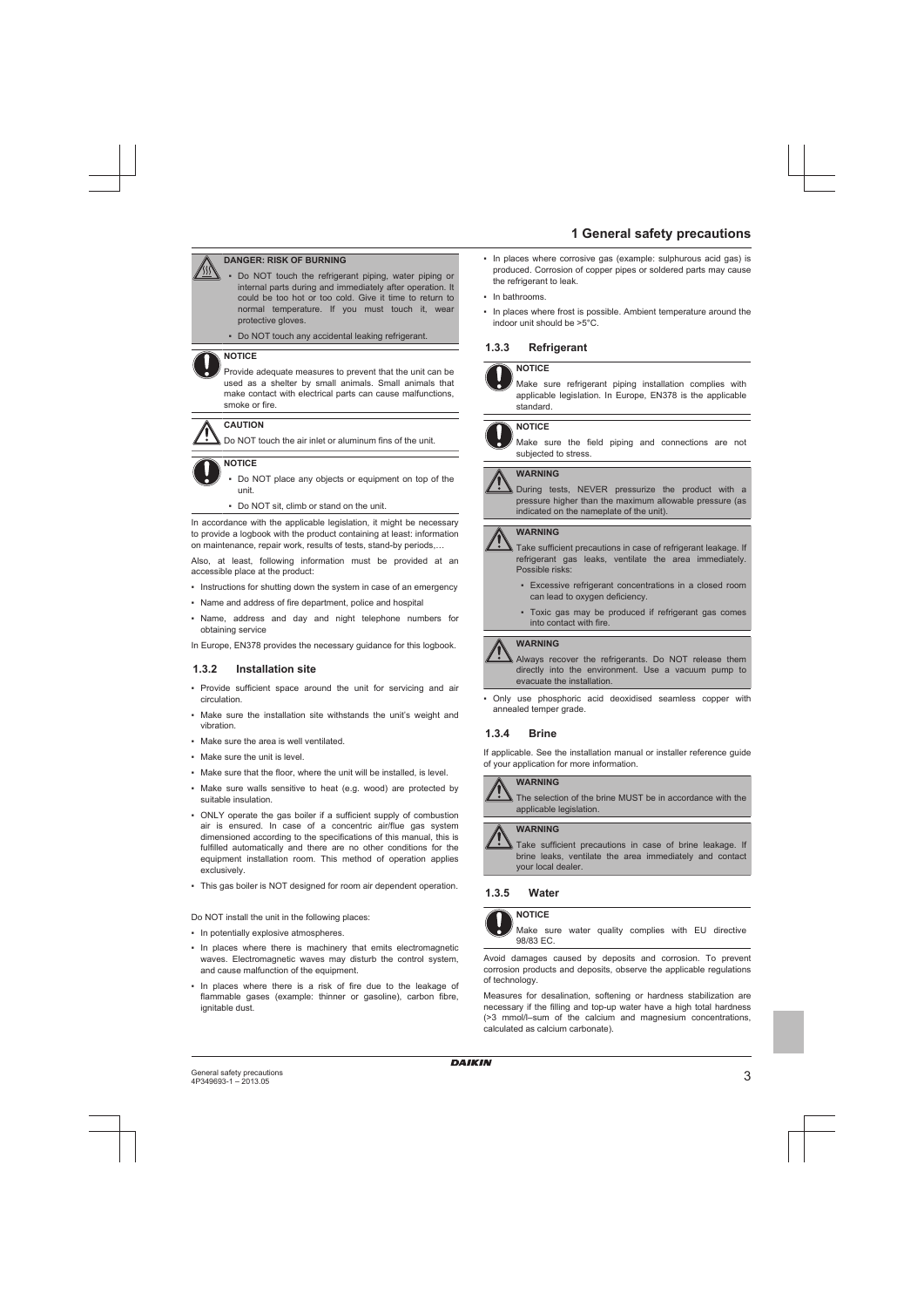

## **DANGER: RISK OF BURNING**

- Do NOT touch the refrigerant piping, water piping or internal parts during and immediately after operation. It could be too hot or too cold. Give it time to return to normal temperature. If you must touch it, wear protective gloves.
- Do NOT touch any accidental leaking refrigerant.

### **NOTICE**

Provide adequate measures to prevent that the unit can be used as a shelter by small animals. Small animals that make contact with electrical parts can cause malfunctions, smoke or fire.

### **CAUTION**

Do NOT touch the air inlet or aluminum fins of the unit.

### **NOTICE**

- Do NOT place any objects or equipment on top of the unit.
- Do NOT sit, climb or stand on the unit.

In accordance with the applicable legislation, it might be necessary to provide a logbook with the product containing at least: information on maintenance, repair work, results of tests, stand-by periods,...

Also, at least, following information must be provided at an accessible place at the product:

- Instructions for shutting down the system in case of an emergency
- Name and address of fire department, police and hospital
- Name, address and day and night telephone numbers for obtaining service

In Europe, EN378 provides the necessary guidance for this logbook.

#### **1.3.2 Installation site**

- Provide sufficient space around the unit for servicing and air circulation.
- Make sure the installation site withstands the unit's weight and vibration.
- Make sure the area is well ventilated.
- Make sure the unit is level.
- Make sure that the floor, where the unit will be installed, is level.
- Make sure walls sensitive to heat (e.g. wood) are protected by suitable insulation.
- ONLY operate the gas boiler if a sufficient supply of combustion air is ensured. In case of a concentric air/flue gas system dimensioned according to the specifications of this manual, this is fulfilled automatically and there are no other conditions for the equipment installation room. This method of operation applies exclusively.
- This gas boiler is NOT designed for room air dependent operation.

Do NOT install the unit in the following places:

- In potentially explosive atmospheres.
- In places where there is machinery that emits electromagnetic waves. Electromagnetic waves may disturb the control system, and cause malfunction of the equipment.
- In places where there is a risk of fire due to the leakage of flammable gases (example: thinner or gasoline), carbon fibre, ignitable dust.
- In places where corrosive gas (example: sulphurous acid gas) is produced. Corrosion of copper pipes or soldered parts may cause the refrigerant to leak.
- In bathrooms.
- In places where frost is possible. Ambient temperature around the indoor unit should be >5°C.

#### **1.3.3 Refrigerant**



Make sure refrigerant piping installation complies with applicable legislation. In Europe, EN378 is the applicable standard.

## **NOTICE**

Make sure the field piping and connections are not subjected to stress.

## **WARNING**

During tests, NEVER pressurize the product with a pressure higher than the maximum allowable pressure (as indicated on the nameplate of the unit).

#### **WARNING**

Take sufficient precautions in case of refrigerant leakage. If refrigerant gas leaks, ventilate the area immediately. Possible risks:

- Excessive refrigerant concentrations in a closed room can lead to oxygen deficiency.
- Toxic gas may be produced if refrigerant gas comes into contact with fire.

## **WARNING**

Always recover the refrigerants. Do NOT release them directly into the environment. Use a vacuum pump to evacuate the installation.

Only use phosphoric acid deoxidised seamless copper with annealed temper grade.

#### **1.3.4 Brine**

If applicable. See the installation manual or installer reference guide of your application for more information.



The selection of the brine MUST be in accordance with the applicable legislation.

### **WARNING**

Take sufficient precautions in case of brine leakage. If brine leaks, ventilate the area immediately and contact your local dealer.

#### **1.3.5 Water**



Make sure water quality complies with EU directive 98/83 EC.

Avoid damages caused by deposits and corrosion. To prevent corrosion products and deposits, observe the applicable regulations of technology.

Measures for desalination, softening or hardness stabilization are necessary if the filling and top-up water have a high total hardness (>3 mmol/l–sum of the calcium and magnesium concentrations, calculated as calcium carbonate).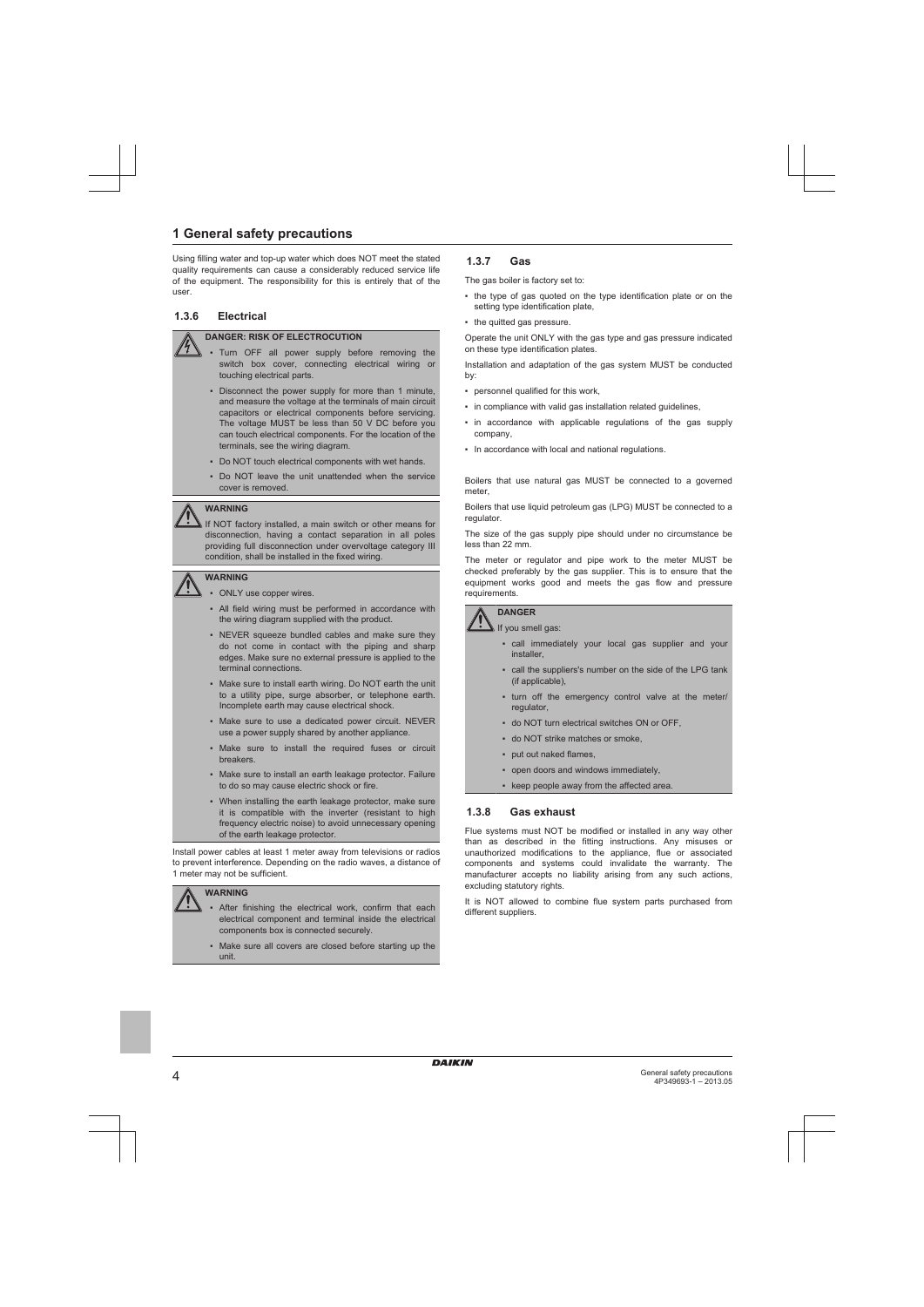Using filling water and top-up water which does NOT meet the stated quality requirements can cause a considerably reduced service life of the equipment. The responsibility for this is entirely that of the user.

## **1.3.6 Electrical**

#### **DANGER: RISK OF ELECTROCUTION**

- Turn OFF all power supply before removing the switch box cover, connecting electrical wiring or touching electrical parts.
- Disconnect the power supply for more than 1 minute, and measure the voltage at the terminals of main circuit capacitors or electrical components before servicing. The voltage MUST be less than 50 V DC before you can touch electrical components. For the location of the terminals, see the wiring diagram.
- Do NOT touch electrical components with wet hands.
- Do NOT leave the unit unattended when the service cover is removed.

#### **WARNING**

If NOT factory installed, a main switch or other means for disconnection, having a contact separation in all poles providing full disconnection under overvoltage category III condition, shall be installed in the fixed wiring.

## **WARNING**

- ONLY use copper wires.
- All field wiring must be performed in accordance with the wiring diagram supplied with the product.
- NEVER squeeze bundled cables and make sure they do not come in contact with the piping and sharp edges. Make sure no external pressure is applied to the terminal connections.
- Make sure to install earth wiring. Do NOT earth the unit to a utility pipe, surge absorber, or telephone earth. Incomplete earth may cause electrical shock.
- Make sure to use a dedicated power circuit. NEVER use a power supply shared by another appliance.
- Make sure to install the required fuses or circuit breakers.
- Make sure to install an earth leakage protector. Failure to do so may cause electric shock or fire.
- When installing the earth leakage protector, make sure it is compatible with the inverter (resistant to high frequency electric noise) to avoid unnecessary opening of the earth leakage protector.

Install power cables at least 1 meter away from televisions or radios to prevent interference. Depending on the radio waves, a distance of 1 meter may not be sufficient.

## **WARNING**

- After finishing the electrical work, confirm that each electrical component and terminal inside the electrical components box is connected securely.
- Make sure all covers are closed before starting up the unit.

## **1.3.7 Gas**

The gas boiler is factory set to:

- the type of gas quoted on the type identification plate or on the setting type identification plate,
- the quitted gas pressure.

Operate the unit ONLY with the gas type and gas pressure indicated on these type identification plates.

Installation and adaptation of the gas system MUST be conducted by:

- personnel qualified for this work,
- in compliance with valid gas installation related guidelines,
- in accordance with applicable regulations of the gas supply company,
- In accordance with local and national regulations.

Boilers that use natural gas MUST be connected to a governed meter

Boilers that use liquid petroleum gas (LPG) MUST be connected to a regulator.

The size of the gas supply pipe should under no circumstance be less than 22 mm.

The meter or regulator and pipe work to the meter MUST be checked preferably by the gas supplier. This is to ensure that the equipment works good and meets the gas flow and pressure requirements.



If you smell gas:

- call immediately your local gas supplier and your installer,
- call the suppliers's number on the side of the LPG tank (if applicable),
- turn off the emergency control valve at the meter/ regulator,
- do NOT turn electrical switches ON or OFF,
- do NOT strike matches or smoke,
- put out naked flames,
- open doors and windows immediately,
- keep people away from the affected area.

#### **1.3.8 Gas exhaust**

Flue systems must NOT be modified or installed in any way other than as described in the fitting instructions. Any misuses or unauthorized modifications to the appliance, flue or associated components and systems could invalidate the warranty. The manufacturer accepts no liability arising from any such actions, excluding statutory rights.

It is NOT allowed to combine flue system parts purchased from different suppliers.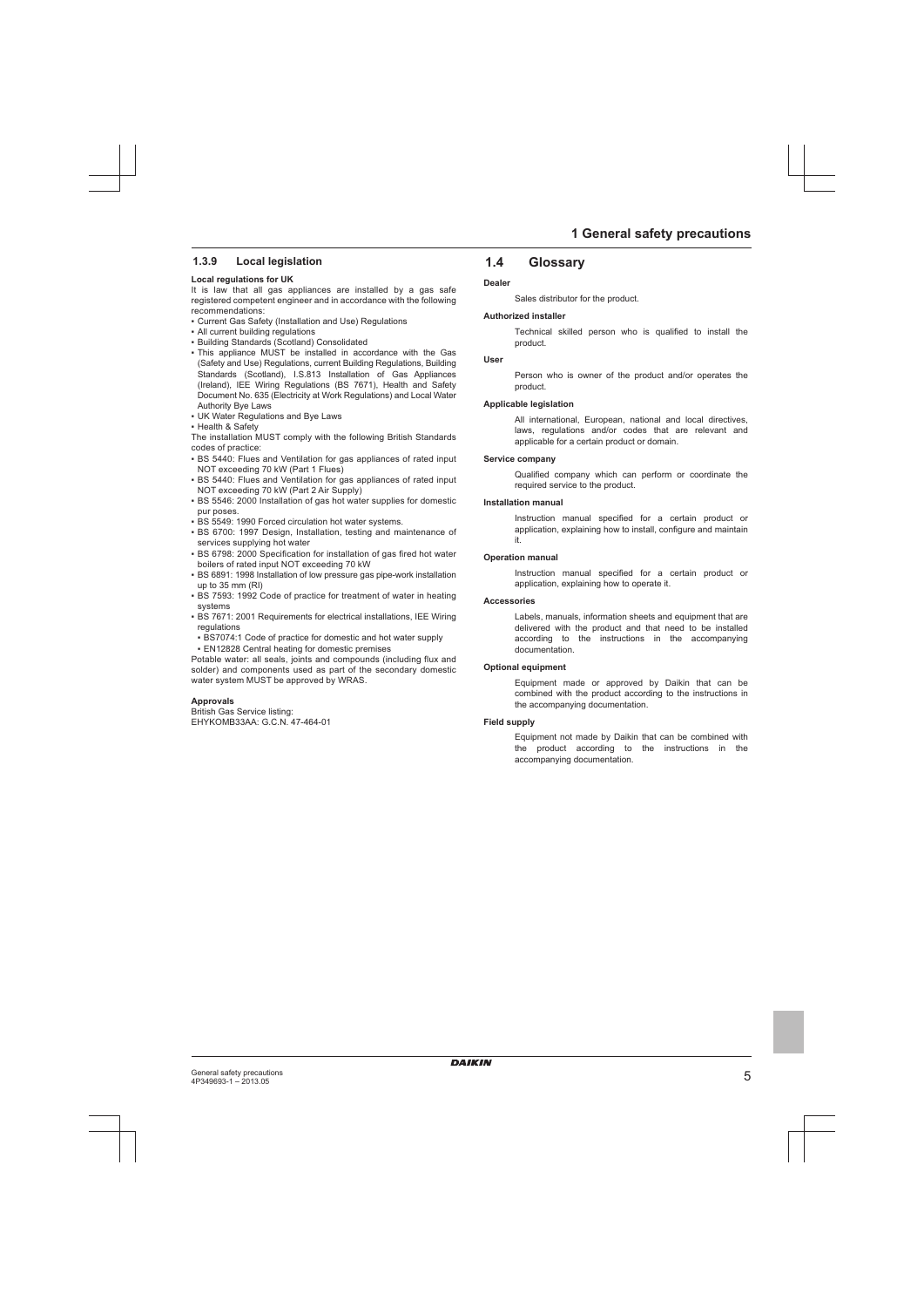## **1.3.9 Local legislation**

#### **Local regulations for UK**

It is law that all gas appliances are installed by a gas safe registered competent engineer and in accordance with the following recommendations:

- Current Gas Safety (Installation and Use) Regulations
- All current building regulations
- Building Standards (Scotland) Consolidated
- This appliance MUST be installed in accordance with the Gas (Safety and Use) Regulations, current Building Regulations, Building Standards (Scotland), I.S.813 Installation of Gas Appliances (Ireland), IEE Wiring Regulations (BS 7671), Health and Safety Document No. 635 (Electricity at Work Regulations) and Local Water Authority Bye Laws
- **. UK Water Regulations and Bye Laws**
- Health & Safety
- The installation MUST comply with the following British Standards codes of practice:
- BS 5440: Flues and Ventilation for gas appliances of rated input NOT exceeding 70 kW (Part 1 Flues)
- BS 5440: Flues and Ventilation for gas appliances of rated input NOT exceeding 70 kW (Part 2 Air Supply)
- BS 5546: 2000 Installation of gas hot water supplies for domestic pur poses.
- BS 5549: 1990 Forced circulation hot water systems.
- BS 6700: 1997 Design, Installation, testing and maintenance of services supplying hot water
- BS 6798: 2000 Specification for installation of gas fired hot water boilers of rated input NOT exceeding 70 kW
- BS 6891: 1998 Installation of low pressure gas pipe-work installation up to 35 mm (RI)
- BS 7593: 1992 Code of practice for treatment of water in heating systems
- BS 7671: 2001 Requirements for electrical installations, IEE Wiring regulations
- BS7074:1 Code of practice for domestic and hot water supply
- EN12828 Central heating for domestic premises

Potable water: all seals, joints and compounds (including flux and solder) and components used as part of the secondary domestic water system MUST be approved by WRAS.

#### **Approvals**

British Gas Service listing: EHYKOMB33AA: G.C.N. 47-464-01

## **1.4 Glossary**

#### **Dealer**

Sales distributor for the product.

#### **Authorized installer**

Technical skilled person who is qualified to install the product.

#### **User**

Person who is owner of the product and/or operates the product.

#### **Applicable legislation**

All international, European, national and local directives, laws, regulations and/or codes that are relevant and applicable for a certain product or domain.

#### **Service company**

Qualified company which can perform or coordinate the required service to the product.

#### **Installation manual**

Instruction manual specified for a certain product or application, explaining how to install, configure and maintain it.

#### **Operation manual**

Instruction manual specified for a certain product or application, explaining how to operate it.

#### **Accessories**

Labels, manuals, information sheets and equipment that are delivered with the product and that need to be installed according to the instructions in the accompanying documentation.

#### **Optional equipment**

Equipment made or approved by Daikin that can be combined with the product according to the instructions in the accompanying documentation.

### **Field supply**

Equipment not made by Daikin that can be combined with the product according to the instructions in the accompanying documentation.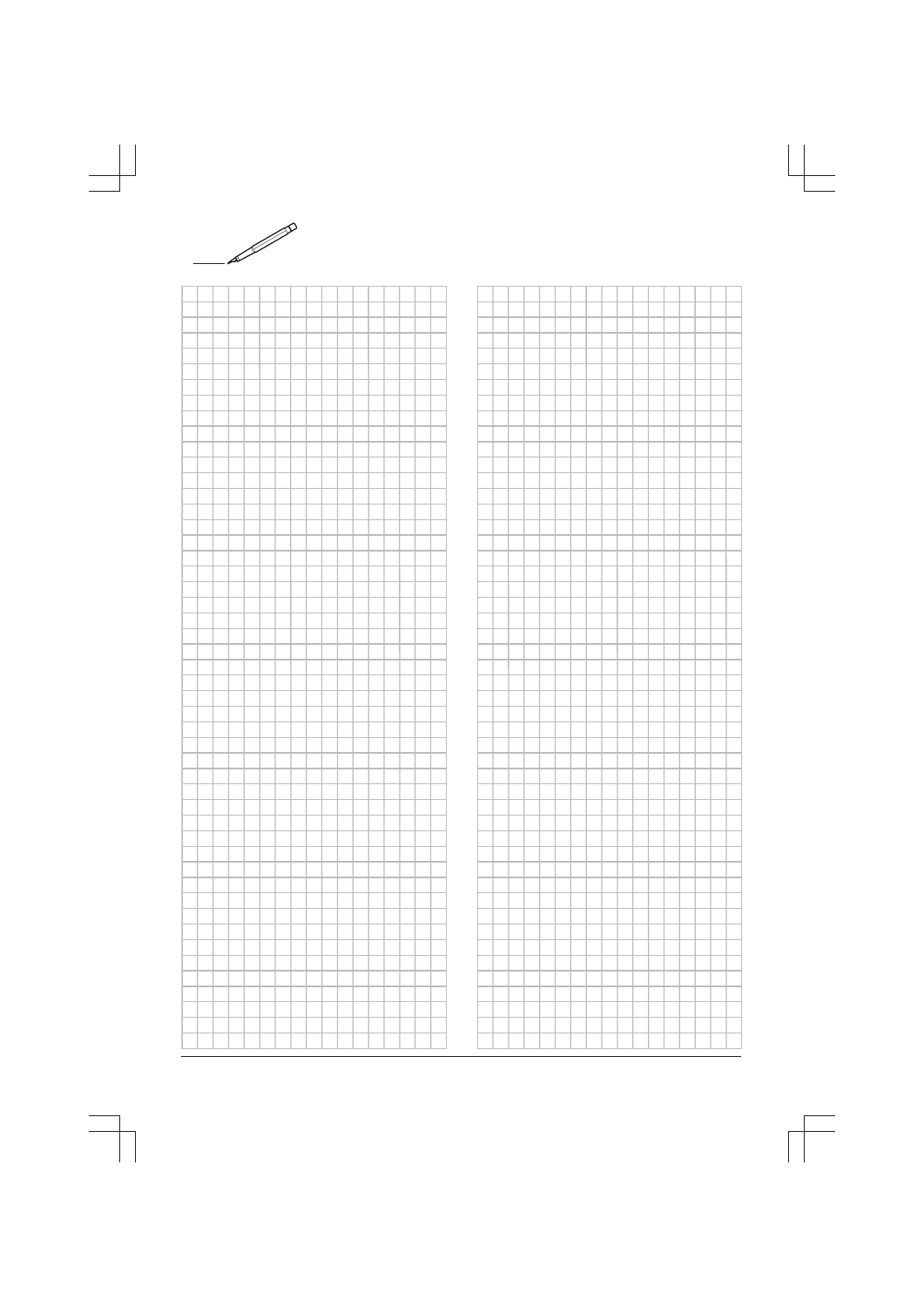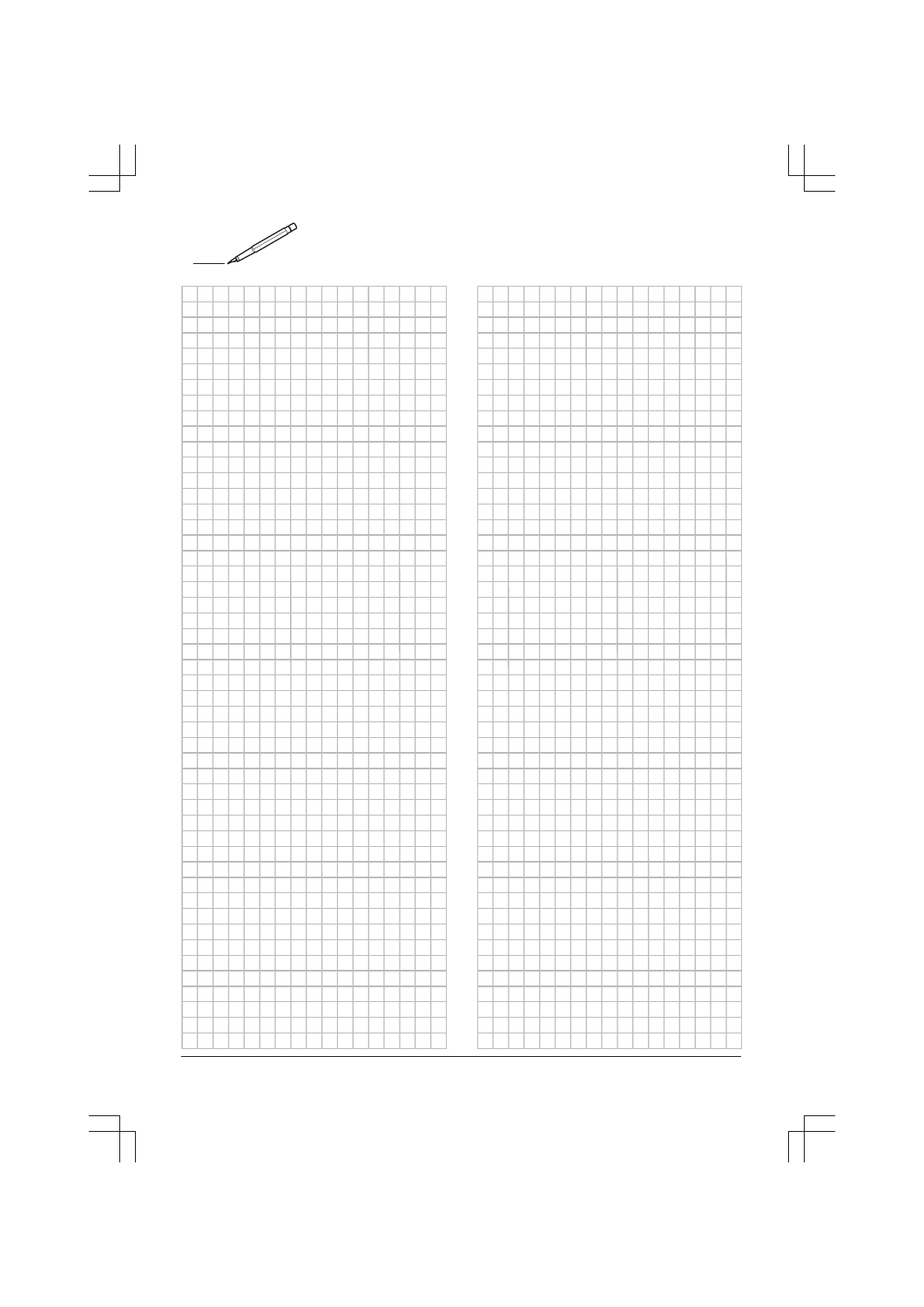

| a sa ta |  |  |  |  |  |  |  |  |  |  |  |  |  |  |  |  |  |
|---------|--|--|--|--|--|--|--|--|--|--|--|--|--|--|--|--|--|
|         |  |  |  |  |  |  |  |  |  |  |  |  |  |  |  |  |  |
|         |  |  |  |  |  |  |  |  |  |  |  |  |  |  |  |  |  |
|         |  |  |  |  |  |  |  |  |  |  |  |  |  |  |  |  |  |
|         |  |  |  |  |  |  |  |  |  |  |  |  |  |  |  |  |  |
|         |  |  |  |  |  |  |  |  |  |  |  |  |  |  |  |  |  |
|         |  |  |  |  |  |  |  |  |  |  |  |  |  |  |  |  |  |
|         |  |  |  |  |  |  |  |  |  |  |  |  |  |  |  |  |  |
|         |  |  |  |  |  |  |  |  |  |  |  |  |  |  |  |  |  |
|         |  |  |  |  |  |  |  |  |  |  |  |  |  |  |  |  |  |
|         |  |  |  |  |  |  |  |  |  |  |  |  |  |  |  |  |  |
|         |  |  |  |  |  |  |  |  |  |  |  |  |  |  |  |  |  |
|         |  |  |  |  |  |  |  |  |  |  |  |  |  |  |  |  |  |
|         |  |  |  |  |  |  |  |  |  |  |  |  |  |  |  |  |  |
|         |  |  |  |  |  |  |  |  |  |  |  |  |  |  |  |  |  |
|         |  |  |  |  |  |  |  |  |  |  |  |  |  |  |  |  |  |
|         |  |  |  |  |  |  |  |  |  |  |  |  |  |  |  |  |  |
|         |  |  |  |  |  |  |  |  |  |  |  |  |  |  |  |  |  |
|         |  |  |  |  |  |  |  |  |  |  |  |  |  |  |  |  |  |
|         |  |  |  |  |  |  |  |  |  |  |  |  |  |  |  |  |  |